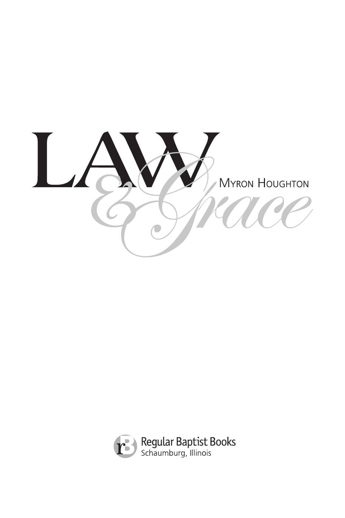

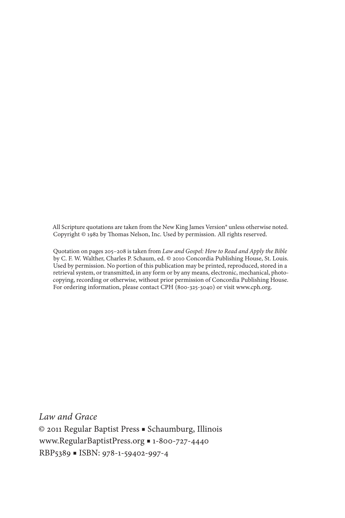All Scripture quotations are taken from the New King James Version® unless otherwise noted. Copyright © 1982 by Thomas Nelson, Inc. Used by permission. All rights reserved.

Quotation on pages 205–208 is taken from *Law and Gospel: How to Read and Apply the Bible* by C. F. W. Walther, Charles P. Schaum, ed. © 2010 Concordia Publishing House, St. Louis. Used by permission. No portion of this publication may be printed, reproduced, stored in a retrieval system, or transmitted, in any form or by any means, electronic, mechanical, photocopying, recording or otherwise, without prior permission of Concordia Publishing House. For ordering information, please contact CPH (800-325-3040) or visit www.cph.org.

*Law and Grace* © 2011 Regular Baptist Press ■ Schaumburg, Illinois www.RegularBaptistPress.org ■ 1-800-727-4440 RBP5389 ■ ISBN: 978-1-59402-997-4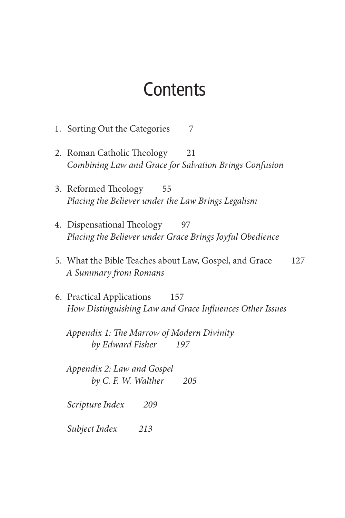## **Contents**

- 1. Sorting Out the Categories7
- 2. Roman Catholic Theology21 *Combining Law and Grace for Salvation Brings Confusion*
- 3. Reformed Theology55 *Placing the Believer under the Law Brings Legalism*
- 4. Dispensational Theology97 *Placing the Believer under Grace Brings Joyful Obedience*
- 5. What the Bible Teaches about Law, Gospel, and Grace127 *A Summary from Romans*
- 6. Practical Applications157 *How Distinguishing Law and Grace Influences Other Issues*

*Appendix 1: The Marrow of Modern Divinity by Edward Fisher 197*

*Appendix 2: Law and Gospel by C. F. W. Walther 205*

*Scripture Index 209*

*Subject Index 213*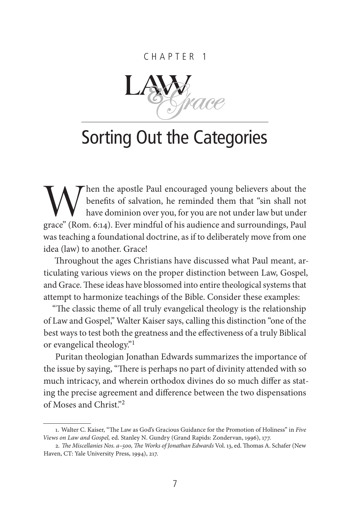#### Chapter 1



# Sorting Out the Categories

When the apostle Paul encouraged young believers about the benefits of salvation, he reminded them that "sin shall not have dominion over you, for you are not under law but under grace" (Rom. 6:14). Ever mindful of his aud benefits of salvation, he reminded them that "sin shall not have dominion over you, for you are not under law but under grace" (Rom. 6:14). Ever mindful of his audience and surroundings, Paul was teaching a foundational doctrine, as if to deliberately move from one idea (law) to another. Grace!

Throughout the ages Christians have discussed what Paul meant, articulating various views on the proper distinction between Law, Gospel, and Grace. These ideas have blossomed into entire theological systems that attempt to harmonize teachings of the Bible. Consider these examples:

"The classic theme of all truly evangelical theology is the relationship of Law and Gospel," Walter Kaiser says, calling this distinction "one of the best ways to test both the greatness and the effectiveness of a truly Biblical or evangelical theology."<sup>1</sup>

Puritan theologian Jonathan Edwards summarizes the importance of the issue by saying, "There is perhaps no part of divinity attended with so much intricacy, and wherein orthodox divines do so much differ as stating the precise agreement and difference between the two dispensations of Moses and Christ."<sup>2</sup>

<sup>1.</sup> Walter C. Kaiser, "The Law as God's Gracious Guidance for the Promotion of Holiness" in *Five Views on Law and Gospel,* ed. Stanley N. Gundry (Grand Rapids: Zondervan, 1996), 177.

<sup>2.</sup> *The Miscellanies Nos. a–500, The Works of Jonathan Edwards* Vol. 13, ed. Thomas A. Schafer (New Haven, CT: Yale University Press, 1994), 217.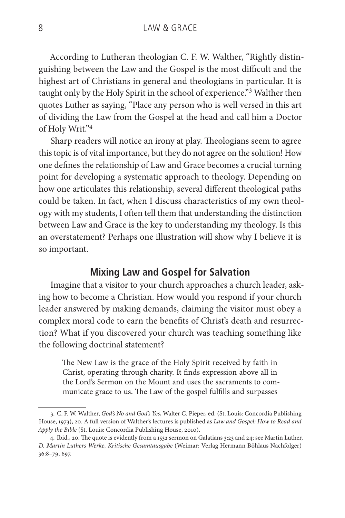According to Lutheran theologian C. F. W. Walther, "Rightly distinguishing between the Law and the Gospel is the most difficult and the highest art of Christians in general and theologians in particular. It is taught only by the Holy Spirit in the school of experience."<sup>3</sup> Walther then quotes Luther as saying, "Place any person who is well versed in this art of dividing the Law from the Gospel at the head and call him a Doctor of Holy Writ."<sup>4</sup>

Sharp readers will notice an irony at play. Theologians seem to agree this topic is of vital importance, but they do not agree on the solution! How one defines the relationship of Law and Grace becomes a crucial turning point for developing a systematic approach to theology. Depending on how one articulates this relationship, several different theological paths could be taken. In fact, when I discuss characteristics of my own theology with my students, I often tell them that understanding the distinction between Law and Grace is the key to understanding my theology. Is this an overstatement? Perhaps one illustration will show why I believe it is so important.

#### **Mixing Law and Gospel for Salvation**

Imagine that a visitor to your church approaches a church leader, asking how to become a Christian. How would you respond if your church leader answered by making demands, claiming the visitor must obey a complex moral code to earn the benefits of Christ's death and resurrection? What if you discovered your church was teaching something like the following doctrinal statement?

The New Law is the grace of the Holy Spirit received by faith in Christ, operating through charity. It finds expression above all in the Lord's Sermon on the Mount and uses the sacraments to communicate grace to us. The Law of the gospel fulfills and surpasses

<sup>3.</sup> C. F. W. Walther, *God's No and God's Yes*, Walter C. Pieper, ed. (St. Louis: Concordia Publishing House, 1973), 20. A full version of Walther's lectures is published as *Law and Gospel: How to Read and Apply the Bible* (St. Louis: Concordia Publishing House, 2010).

<sup>4.</sup> Ibid., 20. The quote is evidently from a 1532 sermon on Galatians 3:23 and 24; see Martin Luther, *D. Martin Luthers Werke, Kritische Gesamtausgabe* (Weimar: Verlag Hermann Böhlaus Nachfolger) 36:8–79, 697.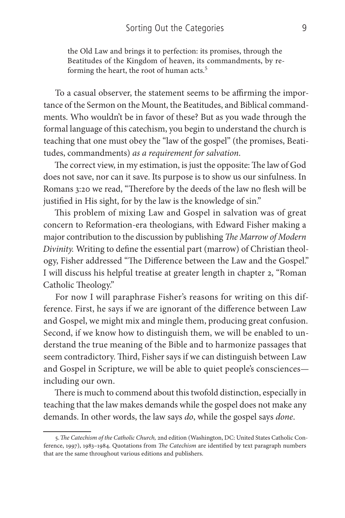the Old Law and brings it to perfection: its promises, through the Beatitudes of the Kingdom of heaven, its commandments, by reforming the heart, the root of human acts.<sup>5</sup>

To a casual observer, the statement seems to be affirming the importance of the Sermon on the Mount, the Beatitudes, and Biblical commandments. Who wouldn't be in favor of these? But as you wade through the formal language of this catechism, you begin to understand the church is teaching that one must obey the "law of the gospel" (the promises, Beatitudes, commandments) *as a requirement for salvation*.

The correct view, in my estimation, is just the opposite: The law of God does not save, nor can it save. Its purpose is to show us our sinfulness. In Romans 3:20 we read, "Therefore by the deeds of the law no flesh will be justified in His sight, for by the law is the knowledge of sin."

This problem of mixing Law and Gospel in salvation was of great concern to Reformation-era theologians, with Edward Fisher making a major contribution to the discussion by publishing *The Marrow of Modern Divinity.* Writing to define the essential part (marrow) of Christian theology, Fisher addressed "The Difference between the Law and the Gospel." I will discuss his helpful treatise at greater length in chapter 2, "Roman Catholic Theology."

For now I will paraphrase Fisher's reasons for writing on this difference. First, he says if we are ignorant of the difference between Law and Gospel, we might mix and mingle them, producing great confusion. Second, if we know how to distinguish them, we will be enabled to understand the true meaning of the Bible and to harmonize passages that seem contradictory. Third, Fisher says if we can distinguish between Law and Gospel in Scripture, we will be able to quiet people's consciences including our own.

There is much to commend about this twofold distinction, especially in teaching that the law makes demands while the gospel does not make any demands. In other words, the law says *do*, while the gospel says *done*.

<sup>5.</sup>*The Catechism of the Catholic Church,* 2nd edition (Washington, DC: United States Catholic Conference, 1997), 1983–1984. Quotations from *The Catechism* are identified by text paragraph numbers that are the same throughout various editions and publishers.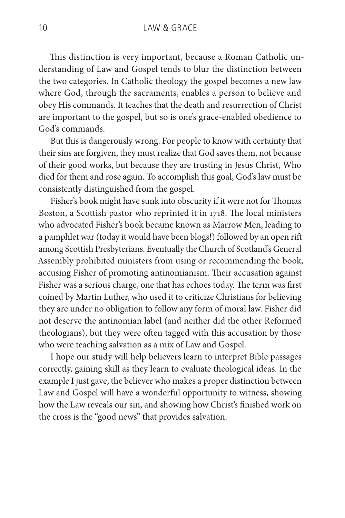This distinction is very important, because a Roman Catholic understanding of Law and Gospel tends to blur the distinction between the two categories. In Catholic theology the gospel becomes a new law where God, through the sacraments, enables a person to believe and obey His commands. It teaches that the death and resurrection of Christ are important to the gospel, but so is one's grace-enabled obedience to God's commands.

But this is dangerously wrong. For people to know with certainty that their sins are forgiven, they must realize that God saves them, not because of their good works, but because they are trusting in Jesus Christ, Who died for them and rose again. To accomplish this goal, God's law must be consistently distinguished from the gospel.

Fisher's book might have sunk into obscurity if it were not for Thomas Boston, a Scottish pastor who reprinted it in 1718. The local ministers who advocated Fisher's book became known as Marrow Men, leading to a pamphlet war (today it would have been blogs!) followed by an open rift among Scottish Presbyterians. Eventually the Church of Scotland's General Assembly prohibited ministers from using or recommending the book, accusing Fisher of promoting antinomianism. Their accusation against Fisher was a serious charge, one that has echoes today. The term was first coined by Martin Luther, who used it to criticize Christians for believing they are under no obligation to follow any form of moral law. Fisher did not deserve the antinomian label (and neither did the other Reformed theologians), but they were often tagged with this accusation by those who were teaching salvation as a mix of Law and Gospel.

I hope our study will help believers learn to interpret Bible passages correctly, gaining skill as they learn to evaluate theological ideas. In the example I just gave, the believer who makes a proper distinction between Law and Gospel will have a wonderful opportunity to witness, showing how the Law reveals our sin, and showing how Christ's finished work on the cross is the "good news" that provides salvation.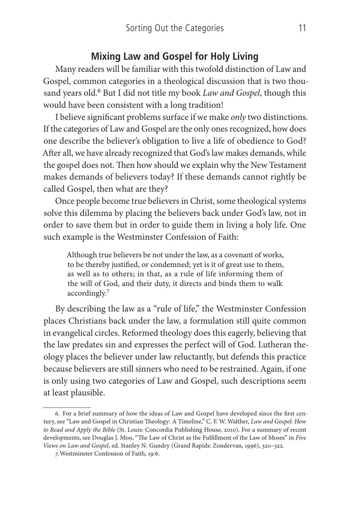#### **Mixing Law and Gospel for Holy Living**

Many readers will be familiar with this twofold distinction of Law and Gospel, common categories in a theological discussion that is two thousand years old.<sup>6</sup> But I did not title my book *Law and Gospel*, though this would have been consistent with a long tradition!

I believe significant problems surface if we make *only* two distinctions. If the categories of Law and Gospel are the only ones recognized, how does one describe the believer's obligation to live a life of obedience to God? After all, we have already recognized that God's law makes demands, while the gospel does not. Then how should we explain why the New Testament makes demands of believers today? If these demands cannot rightly be called Gospel, then what are they?

Once people become true believers in Christ, some theological systems solve this dilemma by placing the believers back under God's law, not in order to save them but in order to guide them in living a holy life. One such example is the Westminster Confession of Faith:

Although true believers be not under the law, as a covenant of works, to be thereby justified, or condemned; yet is it of great use to them, as well as to others; in that, as a rule of life informing them of the will of God, and their duty, it directs and binds them to walk accordingly.7

By describing the law as a "rule of life," the Westminster Confession places Christians back under the law, a formulation still quite common in evangelical circles. Reformed theology does this eagerly, believing that the law predates sin and expresses the perfect will of God. Lutheran theology places the believer under law reluctantly, but defends this practice because believers are still sinners who need to be restrained. Again, if one is only using two categories of Law and Gospel, such descriptions seem at least plausible.

<sup>6.</sup> For a brief summary of how the ideas of Law and Gospel have developed since the first century, see "Law and Gospel in Christian Theology: A Timeline," C. F. W. Walther, *Law and Gospel: How to Read and Apply the Bible* (St. Louis: Concordia Publishing House, 2010). For a summary of recent developments, see Douglas J. Moo, "The Law of Christ as the Fulfillment of the Law of Moses" in *Five Views on Law and Gospel*, ed. Stanley N. Gundry (Grand Rapids: Zondervan, 1996), 320–322.

<sup>7.</sup>Westminster Confession of Faith, 19:6.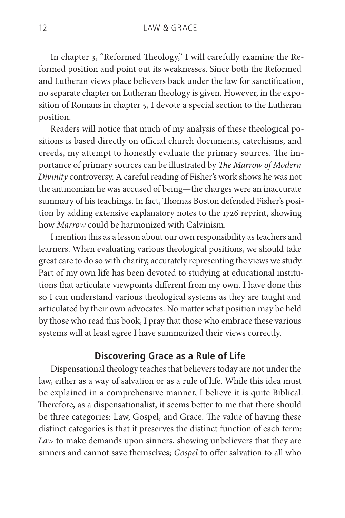In chapter 3, "Reformed Theology," I will carefully examine the Reformed position and point out its weaknesses. Since both the Reformed and Lutheran views place believers back under the law for sanctification, no separate chapter on Lutheran theology is given. However, in the exposition of Romans in chapter 5, I devote a special section to the Lutheran position.

Readers will notice that much of my analysis of these theological positions is based directly on official church documents, catechisms, and creeds, my attempt to honestly evaluate the primary sources. The importance of primary sources can be illustrated by *The Marrow of Modern Divinity* controversy. A careful reading of Fisher's work shows he was not the antinomian he was accused of being—the charges were an inaccurate summary of his teachings. In fact, Thomas Boston defended Fisher's position by adding extensive explanatory notes to the 1726 reprint, showing how *Marrow* could be harmonized with Calvinism.

I mention this as a lesson about our own responsibility as teachers and learners. When evaluating various theological positions, we should take great care to do so with charity, accurately representing the views we study. Part of my own life has been devoted to studying at educational institutions that articulate viewpoints different from my own. I have done this so I can understand various theological systems as they are taught and articulated by their own advocates. No matter what position may be held by those who read this book, I pray that those who embrace these various systems will at least agree I have summarized their views correctly.

#### **Discovering Grace as a Rule of Life**

Dispensational theology teaches that believers today are not under the law, either as a way of salvation or as a rule of life. While this idea must be explained in a comprehensive manner, I believe it is quite Biblical. Therefore, as a dispensationalist, it seems better to me that there should be three categories: Law, Gospel, and Grace. The value of having these distinct categories is that it preserves the distinct function of each term: *Law* to make demands upon sinners, showing unbelievers that they are sinners and cannot save themselves; *Gospel* to offer salvation to all who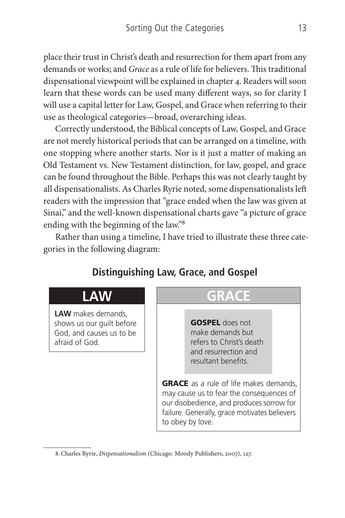place their trust in Christ's death and resurrection for them apart from any demands or works; and *Grace* as a rule of life for believers. This traditional dispensational viewpoint will be explained in chapter 4. Readers will soon learn that these words can be used many different ways, so for clarity I will use a capital letter for Law, Gospel, and Grace when referring to their use as theological categories—broad, overarching ideas.

Correctly understood, the Biblical concepts of Law, Gospel, and Grace are not merely historical periods that can be arranged on a timeline, with one stopping where another starts. Nor is it just a matter of making an Old Testament vs. New Testament distinction, for law, gospel, and grace can be found throughout the Bible. Perhaps this was not clearly taught by all dispensationalists. As Charles Ryrie noted, some dispensationalists left readers with the impression that "grace ended when the law was given at Sinai," and the well-known dispensational charts gave "a picture of grace ending with the beginning of the law."<sup>8</sup>

Rather than using a timeline, I have tried to illustrate these three categories in the following diagram:

### **Distinguishing Law, Grace, and Gospel**

### **LAW**

**LAW** makes demands, shows us our guilt before God, and causes us to be afraid of God.

## **GRACE**

GOSPEL does not make demands but refers to Christ's death and resurrection and resultant benefits.

**GRACE** as a rule of life makes demands, may cause us to fear the consequences of our disobedience, and produces sorrow for failure. Generally, grace motivates believers to obey by love.

<sup>8.</sup>Charles Ryrie, *Dispensationalism* (Chicago: Moody Publishers, 2007), 127.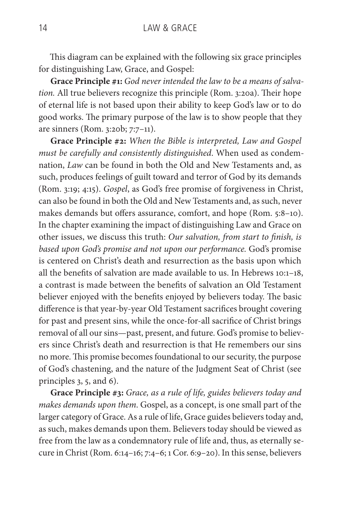This diagram can be explained with the following six grace principles for distinguishing Law, Grace, and Gospel:

**Grace Principle #1:** *God never intended the law to be a means of salvation.* All true believers recognize this principle (Rom. 3:20a). Their hope of eternal life is not based upon their ability to keep God's law or to do good works. The primary purpose of the law is to show people that they are sinners (Rom. 3:20b; 7:7–11).

**Grace Principle #2:** *When the Bible is interpreted, Law and Gospel must be carefully and consistently distinguished*. When used as condemnation, *Law* can be found in both the Old and New Testaments and, as such, produces feelings of guilt toward and terror of God by its demands (Rom. 3:19; 4:15). *Gospel*, as God's free promise of forgiveness in Christ, can also be found in both the Old and New Testaments and, as such, never makes demands but offers assurance, comfort, and hope (Rom. 5:8–10). In the chapter examining the impact of distinguishing Law and Grace on other issues, we discuss this truth: *Our salvation, from start to finish, is based upon God's promise and not upon our performance.* God's promise is centered on Christ's death and resurrection as the basis upon which all the benefits of salvation are made available to us. In Hebrews 10:1–18, a contrast is made between the benefits of salvation an Old Testament believer enjoyed with the benefits enjoyed by believers today. The basic difference is that year-by-year Old Testament sacrifices brought covering for past and present sins, while the once-for-all sacrifice of Christ brings removal of all our sins—past, present, and future. God's promise to believers since Christ's death and resurrection is that He remembers our sins no more. This promise becomes foundational to our security, the purpose of God's chastening, and the nature of the Judgment Seat of Christ (see principles 3, 5, and 6).

**Grace Principle #3:** *Grace, as a rule of life, guides believers today and makes demands upon them*. Gospel, as a concept, is one small part of the larger category of Grace. As a rule of life, Grace guides believers today and, as such, makes demands upon them. Believers today should be viewed as free from the law as a condemnatory rule of life and, thus, as eternally secure in Christ (Rom. 6:14–16; 7:4–6; 1 Cor. 6:9–20). In this sense, believers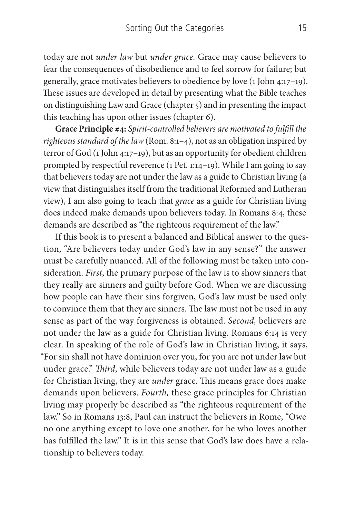today are not *under law* but *under grace.* Grace may cause believers to fear the consequences of disobedience and to feel sorrow for failure; but generally, grace motivates believers to obedience by love (1 John 4:17–19). These issues are developed in detail by presenting what the Bible teaches on distinguishing Law and Grace (chapter 5) and in presenting the impact this teaching has upon other issues (chapter 6).

**Grace Principle #4:** *Spirit-controlled believers are motivated to fulfill the righteous standard of the law* (Rom. 8:1–4), not as an obligation inspired by terror of God (1 John 4:17–19), but as an opportunity for obedient children prompted by respectful reverence (1 Pet. 1:14–19). While I am going to say that believers today are not under the law as a guide to Christian living (a view that distinguishes itself from the traditional Reformed and Lutheran view), I am also going to teach that *grace* as a guide for Christian living does indeed make demands upon believers today. In Romans 8:4, these demands are described as "the righteous requirement of the law."

If this book is to present a balanced and Biblical answer to the question, "Are believers today under God's law in any sense?" the answer must be carefully nuanced. All of the following must be taken into consideration. *First*, the primary purpose of the law is to show sinners that they really are sinners and guilty before God. When we are discussing how people can have their sins forgiven, God's law must be used only to convince them that they are sinners. The law must not be used in any sense as part of the way forgiveness is obtained. *Second,* believers are not under the law as a guide for Christian living. Romans 6:14 is very clear. In speaking of the role of God's law in Christian living, it says, "For sin shall not have dominion over you, for you are not under law but under grace." *Third*, while believers today are not under law as a guide for Christian living, they are *under* grace. This means grace does make demands upon believers. *Fourth,* these grace principles for Christian living may properly be described as "the righteous requirement of the law." So in Romans 13:8, Paul can instruct the believers in Rome, "Owe no one anything except to love one another, for he who loves another has fulfilled the law." It is in this sense that God's law does have a relationship to believers today.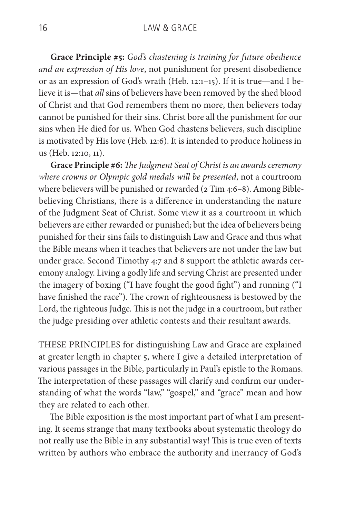**Grace Principle #5:** *God's chastening is training for future obedience and an expression of His love*, not punishment for present disobedience or as an expression of God's wrath (Heb. 12:1–15). If it is true—and I believe it is—that *all* sins of believers have been removed by the shed blood of Christ and that God remembers them no more, then believers today cannot be punished for their sins. Christ bore all the punishment for our sins when He died for us. When God chastens believers, such discipline is motivated by His love (Heb. 12:6). It is intended to produce holiness in us (Heb. 12:10, 11).

**Grace Principle #6:** *The Judgment Seat of Christ is an awards ceremony where crowns or Olympic gold medals will be presented*, not a courtroom where believers will be punished or rewarded (2 Tim 4:6-8). Among Biblebelieving Christians, there is a difference in understanding the nature of the Judgment Seat of Christ. Some view it as a courtroom in which believers are either rewarded or punished; but the idea of believers being punished for their sins fails to distinguish Law and Grace and thus what the Bible means when it teaches that believers are not under the law but under grace. Second Timothy 4:7 and 8 support the athletic awards ceremony analogy. Living a godly life and serving Christ are presented under the imagery of boxing ("I have fought the good fight") and running ("I have finished the race"). The crown of righteousness is bestowed by the Lord, the righteous Judge. This is not the judge in a courtroom, but rather the judge presiding over athletic contests and their resultant awards.

These principles for distinguishing Law and Grace are explained at greater length in chapter 5, where I give a detailed interpretation of various passages in the Bible, particularly in Paul's epistle to the Romans. The interpretation of these passages will clarify and confirm our understanding of what the words "law," "gospel," and "grace" mean and how they are related to each other.

The Bible exposition is the most important part of what I am presenting. It seems strange that many textbooks about systematic theology do not really use the Bible in any substantial way! This is true even of texts written by authors who embrace the authority and inerrancy of God's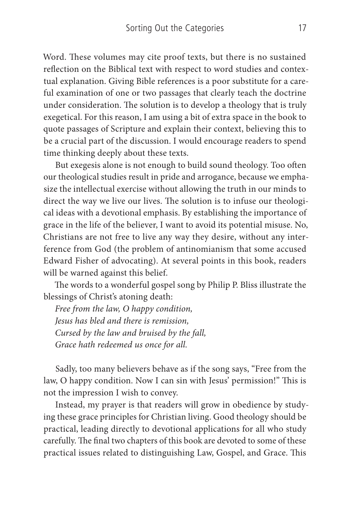Word. These volumes may cite proof texts, but there is no sustained reflection on the Biblical text with respect to word studies and contextual explanation. Giving Bible references is a poor substitute for a careful examination of one or two passages that clearly teach the doctrine under consideration. The solution is to develop a theology that is truly exegetical. For this reason, I am using a bit of extra space in the book to quote passages of Scripture and explain their context, believing this to be a crucial part of the discussion. I would encourage readers to spend time thinking deeply about these texts.

But exegesis alone is not enough to build sound theology. Too often our theological studies result in pride and arrogance, because we emphasize the intellectual exercise without allowing the truth in our minds to direct the way we live our lives. The solution is to infuse our theological ideas with a devotional emphasis. By establishing the importance of grace in the life of the believer, I want to avoid its potential misuse. No, Christians are not free to live any way they desire, without any interference from God (the problem of antinomianism that some accused Edward Fisher of advocating). At several points in this book, readers will be warned against this belief.

The words to a wonderful gospel song by Philip P. Bliss illustrate the blessings of Christ's atoning death:

*Free from the law, O happy condition, Jesus has bled and there is remission, Cursed by the law and bruised by the fall, Grace hath redeemed us once for all.*

Sadly, too many believers behave as if the song says, "Free from the law, O happy condition. Now I can sin with Jesus' permission!" This is not the impression I wish to convey.

Instead, my prayer is that readers will grow in obedience by studying these grace principles for Christian living. Good theology should be practical, leading directly to devotional applications for all who study carefully. The final two chapters of this book are devoted to some of these practical issues related to distinguishing Law, Gospel, and Grace. This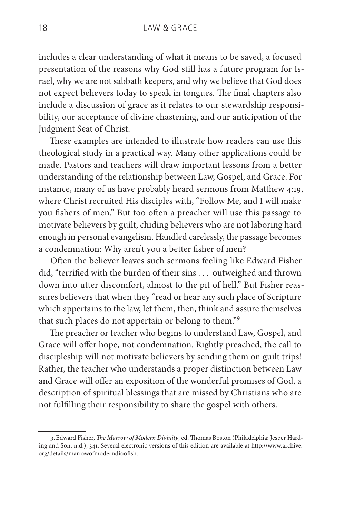includes a clear understanding of what it means to be saved, a focused presentation of the reasons why God still has a future program for Israel, why we are not sabbath keepers, and why we believe that God does not expect believers today to speak in tongues. The final chapters also include a discussion of grace as it relates to our stewardship responsibility, our acceptance of divine chastening, and our anticipation of the Judgment Seat of Christ.

These examples are intended to illustrate how readers can use this theological study in a practical way. Many other applications could be made. Pastors and teachers will draw important lessons from a better understanding of the relationship between Law, Gospel, and Grace. For instance, many of us have probably heard sermons from Matthew 4:19, where Christ recruited His disciples with, "Follow Me, and I will make you fishers of men." But too often a preacher will use this passage to motivate believers by guilt, chiding believers who are not laboring hard enough in personal evangelism. Handled carelessly, the passage becomes a condemnation: Why aren't you a better fisher of men?

Often the believer leaves such sermons feeling like Edward Fisher did, "terrified with the burden of their sins . . . outweighed and thrown down into utter discomfort, almost to the pit of hell." But Fisher reassures believers that when they "read or hear any such place of Scripture which appertains to the law, let them, then, think and assure themselves that such places do not appertain or belong to them."<sup>9</sup>

The preacher or teacher who begins to understand Law, Gospel, and Grace will offer hope, not condemnation. Rightly preached, the call to discipleship will not motivate believers by sending them on guilt trips! Rather, the teacher who understands a proper distinction between Law and Grace will offer an exposition of the wonderful promises of God, a description of spiritual blessings that are missed by Christians who are not fulfilling their responsibility to share the gospel with others.

<sup>9.</sup>Edward Fisher, *The Marrow of Modern Divinity*, ed. Thomas Boston (Philadelphia: Jesper Harding and Son, n.d.), 341. Several electronic versions of this edition are available at http://www.archive. org/details/marrowofmoderndi00fish.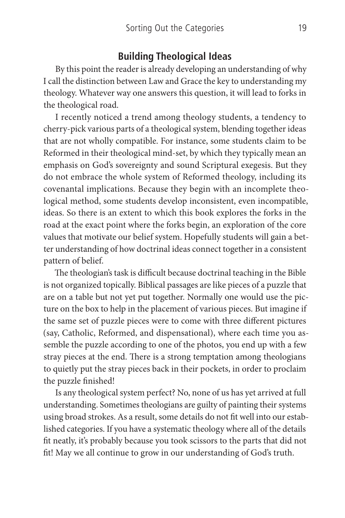#### **Building Theological Ideas**

By this point the reader is already developing an understanding of why I call the distinction between Law and Grace the key to understanding my theology. Whatever way one answers this question, it will lead to forks in the theological road.

I recently noticed a trend among theology students, a tendency to cherry-pick various parts of a theological system, blending together ideas that are not wholly compatible. For instance, some students claim to be Reformed in their theological mind-set, by which they typically mean an emphasis on God's sovereignty and sound Scriptural exegesis. But they do not embrace the whole system of Reformed theology, including its covenantal implications. Because they begin with an incomplete theological method, some students develop inconsistent, even incompatible, ideas. So there is an extent to which this book explores the forks in the road at the exact point where the forks begin, an exploration of the core values that motivate our belief system. Hopefully students will gain a better understanding of how doctrinal ideas connect together in a consistent pattern of belief.

The theologian's task is difficult because doctrinal teaching in the Bible is not organized topically. Biblical passages are like pieces of a puzzle that are on a table but not yet put together. Normally one would use the picture on the box to help in the placement of various pieces. But imagine if the same set of puzzle pieces were to come with three different pictures (say, Catholic, Reformed, and dispensational), where each time you assemble the puzzle according to one of the photos, you end up with a few stray pieces at the end. There is a strong temptation among theologians to quietly put the stray pieces back in their pockets, in order to proclaim the puzzle finished!

Is any theological system perfect? No, none of us has yet arrived at full understanding. Sometimes theologians are guilty of painting their systems using broad strokes. As a result, some details do not fit well into our established categories. If you have a systematic theology where all of the details fit neatly, it's probably because you took scissors to the parts that did not fit! May we all continue to grow in our understanding of God's truth.